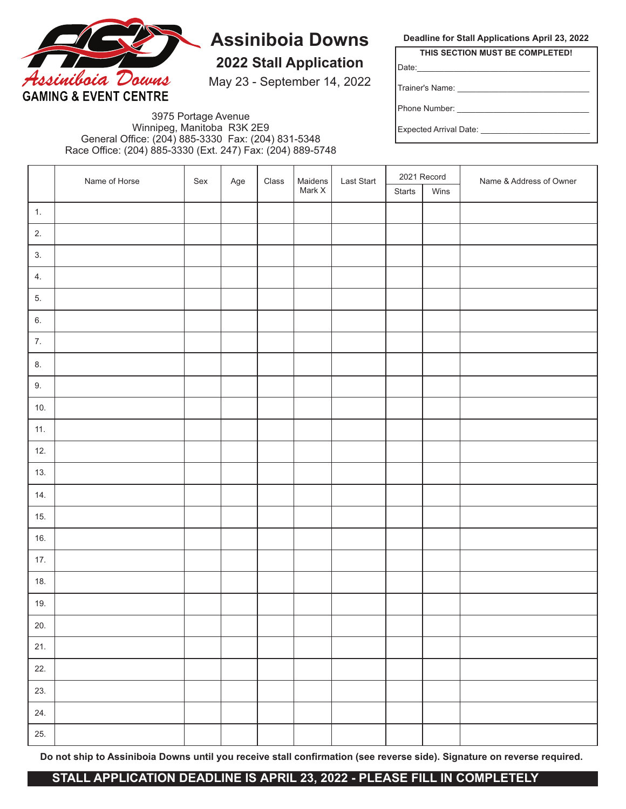

# **Assiniboia Downs**

**2022 Stall Application**

May 23 - September 14, 2022

**Deadline for Stall Applications April 23, 2022 THIS SECTION MUST BE COMPLETED!**

Date:\_\_\_\_\_\_\_\_\_\_\_\_\_\_\_\_\_\_\_\_\_\_\_\_\_\_\_\_\_\_\_\_\_\_\_\_\_\_

Trainer's Name:

Phone Number: \_\_\_\_\_\_\_\_\_\_\_\_\_\_\_\_\_\_\_\_\_\_\_\_\_\_\_\_\_

Expected Arrival Date: \_\_

3975 Portage Avenue Winnipeg, Manitoba R3K 2E9 General Office: (204) 885-3330 Fax: (204) 831-5348 Race Office: (204) 885-3330 (Ext. 247) Fax: (204) 889-5748

|      | Name of Horse | Sex | Age | $\textsf{Class}$ | Maidens<br>Mark X | Last Start | 2021 Record |      | Name & Address of Owner |
|------|---------------|-----|-----|------------------|-------------------|------------|-------------|------|-------------------------|
|      |               |     |     |                  |                   |            | Starts      | Wins |                         |
| 1.   |               |     |     |                  |                   |            |             |      |                         |
| 2.   |               |     |     |                  |                   |            |             |      |                         |
| 3.   |               |     |     |                  |                   |            |             |      |                         |
| 4.   |               |     |     |                  |                   |            |             |      |                         |
| 5.   |               |     |     |                  |                   |            |             |      |                         |
| 6.   |               |     |     |                  |                   |            |             |      |                         |
| $7.$ |               |     |     |                  |                   |            |             |      |                         |
| 8.   |               |     |     |                  |                   |            |             |      |                         |
| 9.   |               |     |     |                  |                   |            |             |      |                         |
| 10.  |               |     |     |                  |                   |            |             |      |                         |
| 11.  |               |     |     |                  |                   |            |             |      |                         |
| 12.  |               |     |     |                  |                   |            |             |      |                         |
| 13.  |               |     |     |                  |                   |            |             |      |                         |
| 14.  |               |     |     |                  |                   |            |             |      |                         |
| 15.  |               |     |     |                  |                   |            |             |      |                         |
| 16.  |               |     |     |                  |                   |            |             |      |                         |
| 17.  |               |     |     |                  |                   |            |             |      |                         |
| 18.  |               |     |     |                  |                   |            |             |      |                         |
| 19.  |               |     |     |                  |                   |            |             |      |                         |
| 20.  |               |     |     |                  |                   |            |             |      |                         |
| 21.  |               |     |     |                  |                   |            |             |      |                         |
| 22.  |               |     |     |                  |                   |            |             |      |                         |
| 23.  |               |     |     |                  |                   |            |             |      |                         |
| 24.  |               |     |     |                  |                   |            |             |      |                         |
| 25.  |               |     |     |                  |                   |            |             |      |                         |

**Do not ship to Assiniboia Downs until you receive stall confirmation (see reverse side). Signature on reverse required.**

### **STALL APPLICATION DEADLINE IS APRIL 23, 2022 - PLEASE FILL IN COMPLETELY**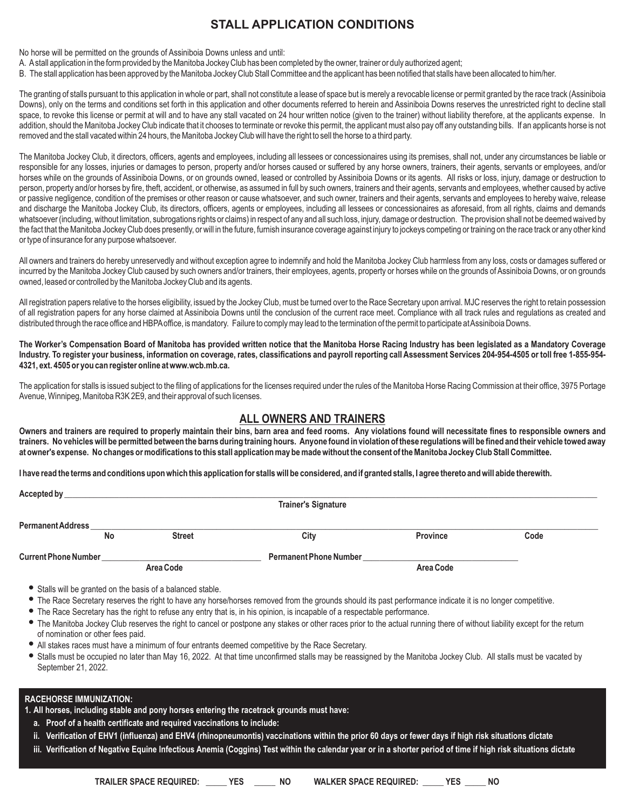## **STALL APPLICATION CONDITIONS**

No horse will be permitted on the grounds of Assiniboia Downs unless and until:

A. Astall application in the form provided by the Manitoba Jockey Club has been completed by the owner, trainer or duly authorized agent;

B. The stall application has been approved by the Manitoba Jockey Club Stall Committee and the applicant has been notified that stalls have been allocated to him/her.

The granting of stalls pursuant to this application in whole or part, shall not constitute a lease of space but is merely a revocable license or permit granted by the race track (Assiniboia Downs), only on the terms and conditions set forth in this application and other documents referred to herein and Assiniboia Downs reserves the unrestricted right to decline stall space, to revoke this license or permit at will and to have any stall vacated on 24 hour written notice (given to the trainer) without liability therefore, at the applicants expense. In addition, should the Manitoba Jockey Club indicate that it chooses to terminate or revoke this permit, the applicant must also pay off any outstanding bills. If an applicants horse is not removed and the stall vacated within 24 hours, the Manitoba Jockey Club will have the right to sell the horse to a third party.

The Manitoba Jockey Club, it directors, officers, agents and employees, including all lessees or concessionaires using its premises, shall not, under any circumstances be liable or responsible for any losses, injuries or damages to person, property and/or horses caused or suffered by any horse owners, trainers, their agents, servants or employees, and/or horses while on the grounds of Assiniboia Downs, or on grounds owned, leased or controlled by Assiniboia Downs or its agents. All risks or loss, injury, damage or destruction to person, property and/or horses by fire, theft, accident, or otherwise, as assumed in full by such owners, trainers and their agents, servants and employees, whether caused by active or passive negligence, condition of the premises or other reason or cause whatsoever, and such owner, trainers and their agents, servants and employees to hereby waive, release and discharge the Manitoba Jockey Club, its directors, officers, agents or employees, including all lessees or concessionaires as aforesaid, from all rights, claims and demands whatsoever (including, without limitation, subrogations rights or claims) in respect of any and all such loss, injury, damage or destruction. The provision shall not be deemed waived by the fact that the Manitoba Jockey Club does presently, or will in the future, furnish insurance coverage against injury to jockeys competing or training on the race track or any other kind or type of insurance for any purpose whatsoever.

All owners and trainers do hereby unreservedly and without exception agree to indemnify and hold the Manitoba Jockey Club harmless from any loss, costs or damages suffered or incurred by the Manitoba Jockey Club caused by such owners and/or trainers, their employees, agents, property or horses while on the grounds of Assiniboia Downs, or on grounds owned, leased or controlled by the Manitoba Jockey Club and its agents.

All registration papers relative to the horses eligibility, issued by the Jockey Club, must be turned over to the Race Secretary upon arrival. MJC reserves the right to retain possession of all registration papers for any horse claimed at Assiniboia Downs until the conclusion of the current race meet. Compliance with all track rules and regulations as created and distributed through the race office and HBPA office, is mandatory. Failure to comply may lead to the termination of the permit to participate at Assiniboia Downs.

**The Worker's Compensation Board of Manitoba has provided written notice that the Manitoba Horse Racing Industry has been legislated as a Mandatory Coverage Industry. To register your business, information on coverage, rates, classifications and payroll reporting call Assessment Services 204-954-4505 or toll free 1-855-954- 4321, ext. 4505 or you can register online at www.wcb.mb.ca.**

The application for stalls is issued subject to the filing of applications for the licenses required under the rules of the Manitoba Horse Racing Commission at their office, 3975 Portage Avenue, Winnipeg, Manitoba R3K 2E9, and their approval of such licenses.

#### **ALL OWNERS AND TRAINERS**

**Owners and trainers are required to properly maintain their bins, barn area and feed rooms. Any violations found will necessitate fines to responsible owners and trainers. No vehicles will be permitted between the barns during training hours. Anyone found in violation of these regulations will be fined and their vehicle towed away at owner's expense. No changes or modifications to this stall application may be made without the consent of the Manitoba Jockey Club Stall Committee.**

**I have read the terms and conditions upon which this application for stalls will be considered, and if granted stalls, I agree thereto and will abide therewith.**

| Accepted by                 |    |               |                               |           |      |  |  |  |
|-----------------------------|----|---------------|-------------------------------|-----------|------|--|--|--|
|                             |    |               | <b>Trainer's Signature</b>    |           |      |  |  |  |
|                             |    |               |                               |           |      |  |  |  |
| <b>Permanent Address</b>    |    |               |                               |           |      |  |  |  |
|                             | No | <b>Street</b> | City                          | Province  | Code |  |  |  |
|                             |    |               |                               |           |      |  |  |  |
| <b>Current Phone Number</b> |    |               | <b>Permanent Phone Number</b> |           |      |  |  |  |
|                             |    | Area Code     |                               | Area Code |      |  |  |  |

- Stalls will be granted on the basis of a balanced stable.
- The Race Secretary reserves the right to have any horse/horses removed from the grounds should its past performance indicate it is no longer competitive.
- The Race Secretary has the right to refuse any entry that is, in his opinion, is incapable of a respectable performance.
- The Manitoba Jockey Club reserves the right to cancel or postpone any stakes or other races prior to the actual running there of without liability except for the return of nomination or other fees paid.
- All stakes races must have a minimum of four entrants deemed competitive by the Race Secretary.
- Stalls must be occupied no later than May 16, 2022. At that time unconfirmed stalls may be reassigned by the Manitoba Jockey Club. All stalls must be vacated by September 21, 2022.

#### **RACEHORSE IMMUNIZATION:**

**1. All horses, including stable and pony horses entering the racetrack grounds must have:**

- **a. Proof of a health certificate and required vaccinations to include:**
- **ii. Verification of EHV1 (influenza) and EHV4 (rhinopneumontis) vaccinations within the prior 60 days or fewer days if high risk situations dictate**
- **iii. Verification of Negative Equine Infectious Anemia (Coggins) Test within the calendar year or in a shorter period of time if high risk situations dictate**